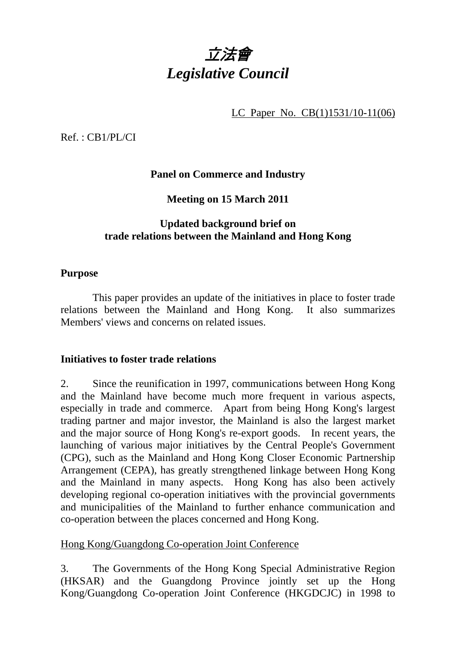

LC Paper No. CB(1)1531/10-11(06)

Ref. : CB1/PL/CI

**Panel on Commerce and Industry** 

**Meeting on 15 March 2011** 

# **Updated background brief on trade relations between the Mainland and Hong Kong**

# **Purpose**

 This paper provides an update of the initiatives in place to foster trade relations between the Mainland and Hong Kong. It also summarizes Members' views and concerns on related issues.

# **Initiatives to foster trade relations**

2. Since the reunification in 1997, communications between Hong Kong and the Mainland have become much more frequent in various aspects, especially in trade and commerce. Apart from being Hong Kong's largest trading partner and major investor, the Mainland is also the largest market and the major source of Hong Kong's re-export goods. In recent years, the launching of various major initiatives by the Central People's Government (CPG), such as the Mainland and Hong Kong Closer Economic Partnership Arrangement (CEPA), has greatly strengthened linkage between Hong Kong and the Mainland in many aspects. Hong Kong has also been actively developing regional co-operation initiatives with the provincial governments and municipalities of the Mainland to further enhance communication and co-operation between the places concerned and Hong Kong.

# Hong Kong/Guangdong Co-operation Joint Conference

3. The Governments of the Hong Kong Special Administrative Region (HKSAR) and the Guangdong Province jointly set up the Hong Kong/Guangdong Co-operation Joint Conference (HKGDCJC) in 1998 to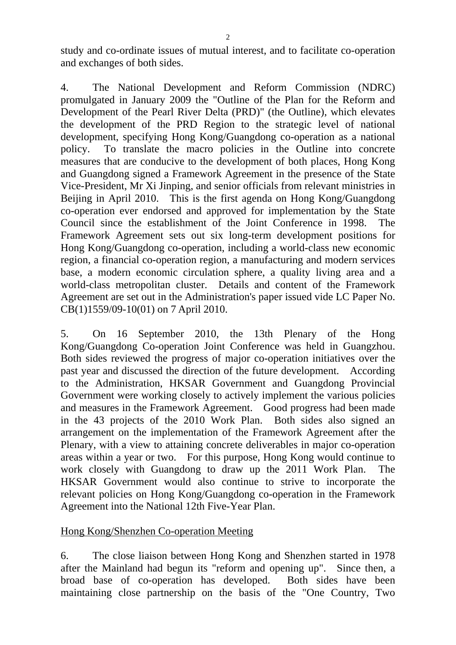study and co-ordinate issues of mutual interest, and to facilitate co-operation and exchanges of both sides.

4. The National Development and Reform Commission (NDRC) promulgated in January 2009 the "Outline of the Plan for the Reform and Development of the Pearl River Delta (PRD)" (the Outline), which elevates the development of the PRD Region to the strategic level of national development, specifying Hong Kong/Guangdong co-operation as a national policy. To translate the macro policies in the Outline into concrete measures that are conducive to the development of both places, Hong Kong and Guangdong signed a Framework Agreement in the presence of the State Vice-President, Mr Xi Jinping, and senior officials from relevant ministries in Beijing in April 2010. This is the first agenda on Hong Kong/Guangdong co-operation ever endorsed and approved for implementation by the State Council since the establishment of the Joint Conference in 1998. The Framework Agreement sets out six long-term development positions for Hong Kong/Guangdong co-operation, including a world-class new economic region, a financial co-operation region, a manufacturing and modern services base, a modern economic circulation sphere, a quality living area and a world-class metropolitan cluster. Details and content of the Framework Agreement are set out in the Administration's paper issued vide LC Paper No. CB(1)1559/09-10(01) on 7 April 2010.

5. On 16 September 2010, the 13th Plenary of the Hong Kong/Guangdong Co-operation Joint Conference was held in Guangzhou. Both sides reviewed the progress of major co-operation initiatives over the past year and discussed the direction of the future development. According to the Administration, HKSAR Government and Guangdong Provincial Government were working closely to actively implement the various policies and measures in the Framework Agreement. Good progress had been made in the 43 projects of the 2010 Work Plan. Both sides also signed an arrangement on the implementation of the Framework Agreement after the Plenary, with a view to attaining concrete deliverables in major co-operation areas within a year or two. For this purpose, Hong Kong would continue to work closely with Guangdong to draw up the 2011 Work Plan. The HKSAR Government would also continue to strive to incorporate the relevant policies on Hong Kong/Guangdong co-operation in the Framework Agreement into the National 12th Five-Year Plan.

# Hong Kong/Shenzhen Co-operation Meeting

6. The close liaison between Hong Kong and Shenzhen started in 1978 after the Mainland had begun its "reform and opening up". Since then, a broad base of co-operation has developed. Both sides have been maintaining close partnership on the basis of the "One Country, Two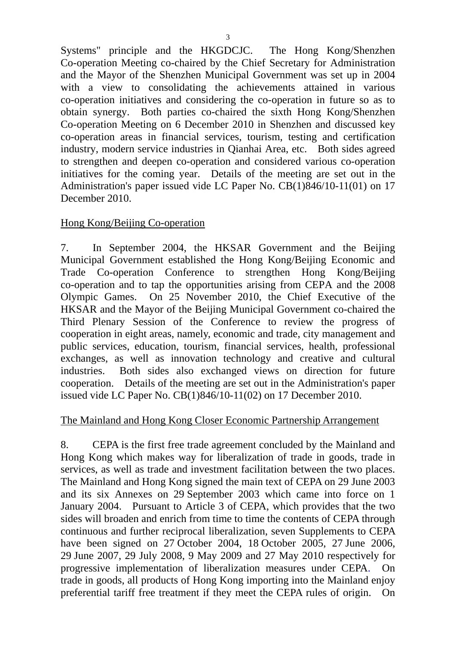Systems" principle and the HKGDCJC. The Hong Kong/Shenzhen Co-operation Meeting co-chaired by the Chief Secretary for Administration and the Mayor of the Shenzhen Municipal Government was set up in 2004 with a view to consolidating the achievements attained in various co-operation initiatives and considering the co-operation in future so as to obtain synergy. Both parties co-chaired the sixth Hong Kong/Shenzhen Co-operation Meeting on 6 December 2010 in Shenzhen and discussed key co-operation areas in financial services, tourism, testing and certification industry, modern service industries in Qianhai Area, etc. Both sides agreed to strengthen and deepen co-operation and considered various co-operation initiatives for the coming year. Details of the meeting are set out in the Administration's paper issued vide LC Paper No. CB(1)846/10-11(01) on 17 December 2010.

# Hong Kong/Beijing Co-operation

7. In September 2004, the HKSAR Government and the Beijing Municipal Government established the Hong Kong/Beijing Economic and Trade Co-operation Conference to strengthen Hong Kong/Beijing co-operation and to tap the opportunities arising from CEPA and the 2008 Olympic Games. On 25 November 2010, the Chief Executive of the HKSAR and the Mayor of the Beijing Municipal Government co-chaired the Third Plenary Session of the Conference to review the progress of cooperation in eight areas, namely, economic and trade, city management and public services, education, tourism, financial services, health, professional exchanges, as well as innovation technology and creative and cultural industries. Both sides also exchanged views on direction for future cooperation. Details of the meeting are set out in the Administration's paper issued vide LC Paper No. CB(1)846/10-11(02) on 17 December 2010.

# The Mainland and Hong Kong Closer Economic Partnership Arrangement

8. CEPA is the first free trade agreement concluded by the Mainland and Hong Kong which makes way for liberalization of trade in goods, trade in services, as well as trade and investment facilitation between the two places. The Mainland and Hong Kong signed the main text of CEPA on 29 June 2003 and its six Annexes on 29 September 2003 which came into force on 1 January 2004. Pursuant to Article 3 of CEPA, which provides that the two sides will broaden and enrich from time to time the contents of CEPA through continuous and further reciprocal liberalization, seven Supplements to CEPA have been signed on 27 October 2004, 18 October 2005, 27 June 2006, 29 June 2007, 29 July 2008, 9 May 2009 and 27 May 2010 respectively for progressive implementation of liberalization measures under CEPA. On trade in goods, all products of Hong Kong importing into the Mainland enjoy preferential tariff free treatment if they meet the CEPA rules of origin. On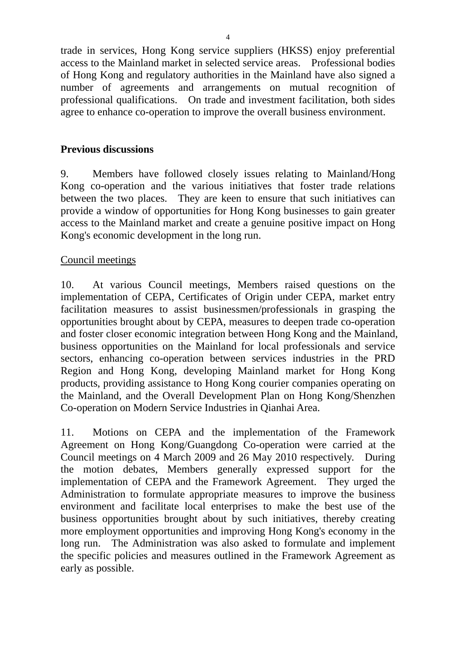trade in services, Hong Kong service suppliers (HKSS) enjoy preferential access to the Mainland market in selected service areas. Professional bodies of Hong Kong and regulatory authorities in the Mainland have also signed a number of agreements and arrangements on mutual recognition of professional qualifications. On trade and investment facilitation, both sides agree to enhance co-operation to improve the overall business environment.

# **Previous discussions**

9. Members have followed closely issues relating to Mainland/Hong Kong co-operation and the various initiatives that foster trade relations between the two places. They are keen to ensure that such initiatives can provide a window of opportunities for Hong Kong businesses to gain greater access to the Mainland market and create a genuine positive impact on Hong Kong's economic development in the long run.

# Council meetings

10. At various Council meetings, Members raised questions on the implementation of CEPA, Certificates of Origin under CEPA, market entry facilitation measures to assist businessmen/professionals in grasping the opportunities brought about by CEPA, measures to deepen trade co-operation and foster closer economic integration between Hong Kong and the Mainland, business opportunities on the Mainland for local professionals and service sectors, enhancing co-operation between services industries in the PRD Region and Hong Kong, developing Mainland market for Hong Kong products, providing assistance to Hong Kong courier companies operating on the Mainland, and the Overall Development Plan on Hong Kong/Shenzhen Co-operation on Modern Service Industries in Qianhai Area.

11. Motions on CEPA and the implementation of the Framework Agreement on Hong Kong/Guangdong Co-operation were carried at the Council meetings on 4 March 2009 and 26 May 2010 respectively. During the motion debates, Members generally expressed support for the implementation of CEPA and the Framework Agreement. They urged the Administration to formulate appropriate measures to improve the business environment and facilitate local enterprises to make the best use of the business opportunities brought about by such initiatives, thereby creating more employment opportunities and improving Hong Kong's economy in the long run. The Administration was also asked to formulate and implement the specific policies and measures outlined in the Framework Agreement as early as possible.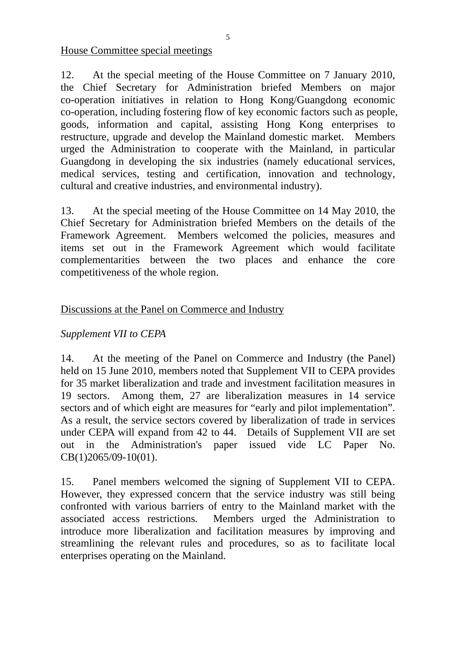House Committee special meetings

12. At the special meeting of the House Committee on 7 January 2010, the Chief Secretary for Administration briefed Members on major co-operation initiatives in relation to Hong Kong/Guangdong economic co-operation, including fostering flow of key economic factors such as people, goods, information and capital, assisting Hong Kong enterprises to restructure, upgrade and develop the Mainland domestic market. Members urged the Administration to cooperate with the Mainland, in particular Guangdong in developing the six industries (namely educational services, medical services, testing and certification, innovation and technology, cultural and creative industries, and environmental industry).

13. At the special meeting of the House Committee on 14 May 2010, the Chief Secretary for Administration briefed Members on the details of the Framework Agreement. Members welcomed the policies, measures and items set out in the Framework Agreement which would facilitate complementarities between the two places and enhance the core competitiveness of the whole region.

# Discussions at the Panel on Commerce and Industry

# *Supplement VII to CEPA*

14. At the meeting of the Panel on Commerce and Industry (the Panel) held on 15 June 2010, members noted that Supplement VII to CEPA provides for 35 market liberalization and trade and investment facilitation measures in 19 sectors. Among them, 27 are liberalization measures in 14 service sectors and of which eight are measures for "early and pilot implementation". As a result, the service sectors covered by liberalization of trade in services under CEPA will expand from 42 to 44. Details of Supplement VII are set out in the Administration's paper issued vide LC Paper No. CB(1)2065/09-10(01).

15. Panel members welcomed the signing of Supplement VII to CEPA. However, they expressed concern that the service industry was still being confronted with various barriers of entry to the Mainland market with the associated access restrictions. Members urged the Administration to introduce more liberalization and facilitation measures by improving and streamlining the relevant rules and procedures, so as to facilitate local enterprises operating on the Mainland.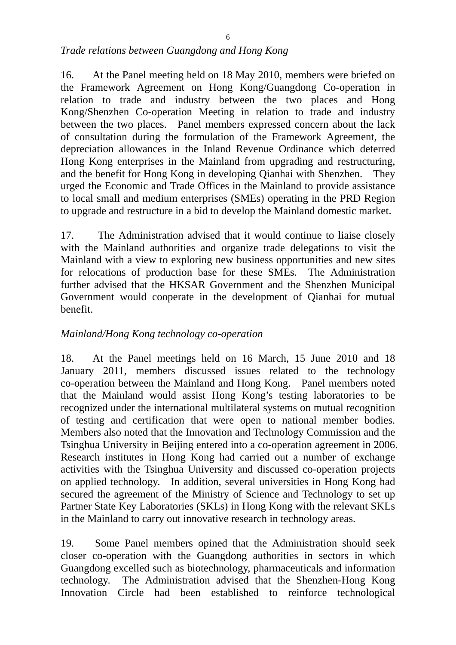#### *Trade relations between Guangdong and Hong Kong*

16. At the Panel meeting held on 18 May 2010, members were briefed on the Framework Agreement on Hong Kong/Guangdong Co-operation in relation to trade and industry between the two places and Hong Kong/Shenzhen Co-operation Meeting in relation to trade and industry between the two places. Panel members expressed concern about the lack of consultation during the formulation of the Framework Agreement, the depreciation allowances in the Inland Revenue Ordinance which deterred Hong Kong enterprises in the Mainland from upgrading and restructuring, and the benefit for Hong Kong in developing Qianhai with Shenzhen. They urged the Economic and Trade Offices in the Mainland to provide assistance to local small and medium enterprises (SMEs) operating in the PRD Region to upgrade and restructure in a bid to develop the Mainland domestic market.

17. The Administration advised that it would continue to liaise closely with the Mainland authorities and organize trade delegations to visit the Mainland with a view to exploring new business opportunities and new sites for relocations of production base for these SMEs. The Administration further advised that the HKSAR Government and the Shenzhen Municipal Government would cooperate in the development of Qianhai for mutual benefit.

# *Mainland/Hong Kong technology co-operation*

18. At the Panel meetings held on 16 March, 15 June 2010 and 18 January 2011, members discussed issues related to the technology co-operation between the Mainland and Hong Kong. Panel members noted that the Mainland would assist Hong Kong's testing laboratories to be recognized under the international multilateral systems on mutual recognition of testing and certification that were open to national member bodies. Members also noted that the Innovation and Technology Commission and the Tsinghua University in Beijing entered into a co-operation agreement in 2006. Research institutes in Hong Kong had carried out a number of exchange activities with the Tsinghua University and discussed co-operation projects on applied technology. In addition, several universities in Hong Kong had secured the agreement of the Ministry of Science and Technology to set up Partner State Key Laboratories (SKLs) in Hong Kong with the relevant SKLs in the Mainland to carry out innovative research in technology areas.

19. Some Panel members opined that the Administration should seek closer co-operation with the Guangdong authorities in sectors in which Guangdong excelled such as biotechnology, pharmaceuticals and information technology. The Administration advised that the Shenzhen-Hong Kong Innovation Circle had been established to reinforce technological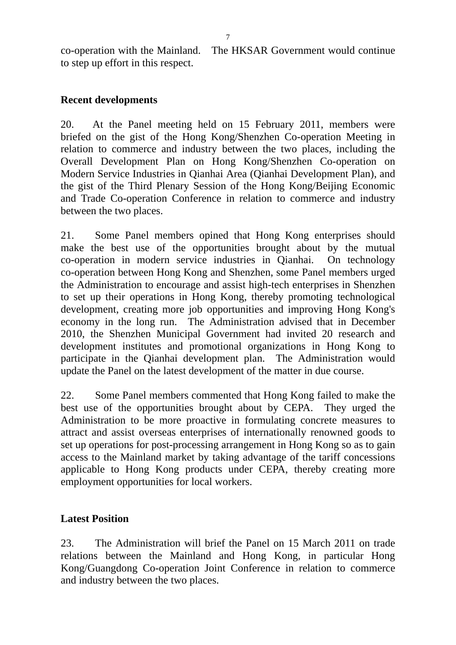co-operation with the Mainland. The HKSAR Government would continue to step up effort in this respect.

# **Recent developments**

20. At the Panel meeting held on 15 February 2011, members were briefed on the gist of the Hong Kong/Shenzhen Co-operation Meeting in relation to commerce and industry between the two places, including the Overall Development Plan on Hong Kong/Shenzhen Co-operation on Modern Service Industries in Qianhai Area (Qianhai Development Plan), and the gist of the Third Plenary Session of the Hong Kong/Beijing Economic and Trade Co-operation Conference in relation to commerce and industry between the two places.

21. Some Panel members opined that Hong Kong enterprises should make the best use of the opportunities brought about by the mutual co-operation in modern service industries in Qianhai. On technology co-operation between Hong Kong and Shenzhen, some Panel members urged the Administration to encourage and assist high-tech enterprises in Shenzhen to set up their operations in Hong Kong, thereby promoting technological development, creating more job opportunities and improving Hong Kong's economy in the long run. The Administration advised that in December 2010, the Shenzhen Municipal Government had invited 20 research and development institutes and promotional organizations in Hong Kong to participate in the Qianhai development plan. The Administration would update the Panel on the latest development of the matter in due course.

22. Some Panel members commented that Hong Kong failed to make the best use of the opportunities brought about by CEPA. They urged the Administration to be more proactive in formulating concrete measures to attract and assist overseas enterprises of internationally renowned goods to set up operations for post-processing arrangement in Hong Kong so as to gain access to the Mainland market by taking advantage of the tariff concessions applicable to Hong Kong products under CEPA, thereby creating more employment opportunities for local workers.

# **Latest Position**

23. The Administration will brief the Panel on 15 March 2011 on trade relations between the Mainland and Hong Kong, in particular Hong Kong/Guangdong Co-operation Joint Conference in relation to commerce and industry between the two places.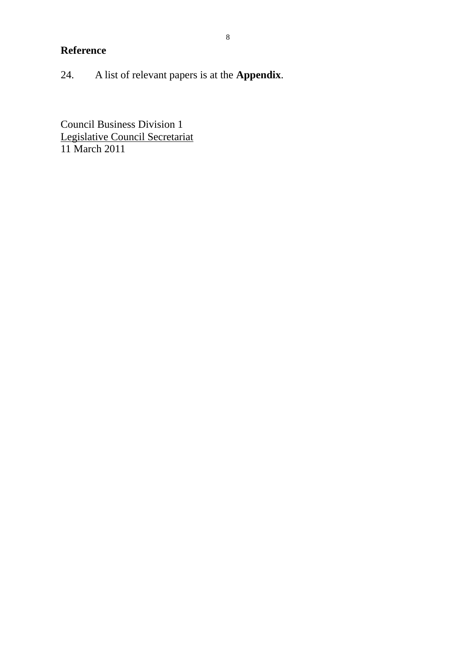# **Reference**

24. A list of relevant papers is at the **Appendix**.

Council Business Division 1 Legislative Council Secretariat 11 March 2011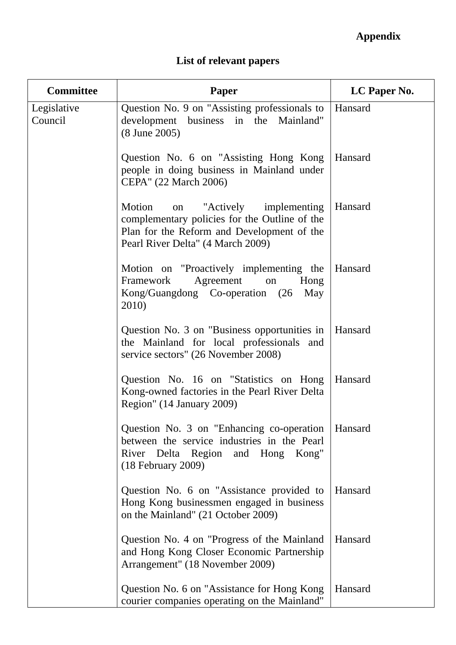# **Appendix**

# **List of relevant papers**

| <b>Committee</b>       | Paper                                                                                                                                                                       | LC Paper No. |
|------------------------|-----------------------------------------------------------------------------------------------------------------------------------------------------------------------------|--------------|
| Legislative<br>Council | Question No. 9 on "Assisting professionals to<br>development business in the Mainland"<br>(8 June 2005)                                                                     | Hansard      |
|                        | Question No. 6 on "Assisting Hong Kong<br>people in doing business in Mainland under<br>CEPA" (22 March 2006)                                                               | Hansard      |
|                        | "Actively implementing"<br>Motion<br>on<br>complementary policies for the Outline of the<br>Plan for the Reform and Development of the<br>Pearl River Delta" (4 March 2009) | Hansard      |
|                        | Motion on "Proactively implementing the<br>Framework<br>Agreement<br>Hong<br>on<br>Kong/Guangdong Co-operation (26<br>May<br>2010)                                          | Hansard      |
|                        | Question No. 3 on "Business opportunities in<br>the Mainland for local professionals and<br>service sectors" (26 November 2008)                                             | Hansard      |
|                        | Question No. 16 on "Statistics on Hong<br>Kong-owned factories in the Pearl River Delta<br>Region" (14 January 2009)                                                        | Hansard      |
|                        | Question No. 3 on "Enhancing co-operation"<br>between the service industries in the Pearl<br>River Delta Region and Hong<br>Kong"<br>$(18$ February 2009)                   | Hansard      |
|                        | Question No. 6 on "Assistance provided to<br>Hong Kong businessmen engaged in business<br>on the Mainland" (21 October 2009)                                                | Hansard      |
|                        | Question No. 4 on "Progress of the Mainland"<br>and Hong Kong Closer Economic Partnership<br>Arrangement" (18 November 2009)                                                | Hansard      |
|                        | Question No. 6 on "Assistance for Hong Kong"<br>courier companies operating on the Mainland"                                                                                | Hansard      |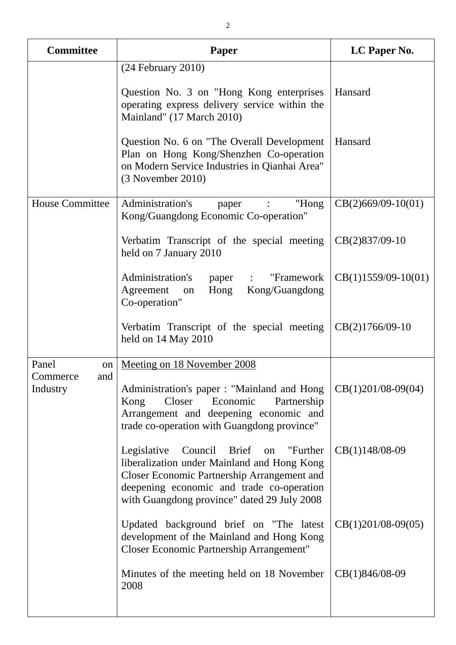| <b>Committee</b>            | Paper                                                                                                                                                                                                                              | LC Paper No.          |
|-----------------------------|------------------------------------------------------------------------------------------------------------------------------------------------------------------------------------------------------------------------------------|-----------------------|
|                             | $(24$ February $2010$ )                                                                                                                                                                                                            |                       |
|                             | Question No. 3 on "Hong Kong enterprises"<br>operating express delivery service within the<br>Mainland" (17 March 2010)                                                                                                            | Hansard               |
|                             | Question No. 6 on "The Overall Development<br>Plan on Hong Kong/Shenzhen Co-operation<br>on Modern Service Industries in Qianhai Area"<br>$(3$ November 2010)                                                                      | Hansard               |
| <b>House Committee</b>      | Administration's<br>"Hong<br>paper<br>Kong/Guangdong Economic Co-operation"                                                                                                                                                        | $CB(2)669/09-10(01)$  |
|                             | Verbatim Transcript of the special meeting<br>held on 7 January 2010                                                                                                                                                               | $CB(2)837/09-10$      |
|                             | Administration's<br>"Framework<br>paper<br>$\ddot{\cdot}$<br>Agreement<br>Hong<br>Kong/Guangdong<br>on<br>Co-operation"                                                                                                            | $CB(1)1559/09-10(01)$ |
|                             | Verbatim Transcript of the special meeting<br>held on 14 May 2010                                                                                                                                                                  | CB(2)1766/09-10       |
| Panel<br>on                 | Meeting on 18 November 2008                                                                                                                                                                                                        |                       |
| Commerce<br>and<br>Industry | Administration's paper: "Mainland and Hong<br>Closer<br>Economic<br>Kong<br>Partnership<br>Arrangement and deepening economic and<br>trade co-operation with Guangdong province"                                                   | $CB(1)201/08-09(04)$  |
|                             | Legislative<br>Council Brief on "Further<br>liberalization under Mainland and Hong Kong<br>Closer Economic Partnership Arrangement and<br>deepening economic and trade co-operation<br>with Guangdong province" dated 29 July 2008 | $CB(1)148/08-09$      |
|                             | Updated background brief on "The latest<br>development of the Mainland and Hong Kong<br>Closer Economic Partnership Arrangement"                                                                                                   | $CB(1)201/08-09(05)$  |
|                             | Minutes of the meeting held on 18 November<br>2008                                                                                                                                                                                 | CB(1)846/08-09        |
|                             |                                                                                                                                                                                                                                    |                       |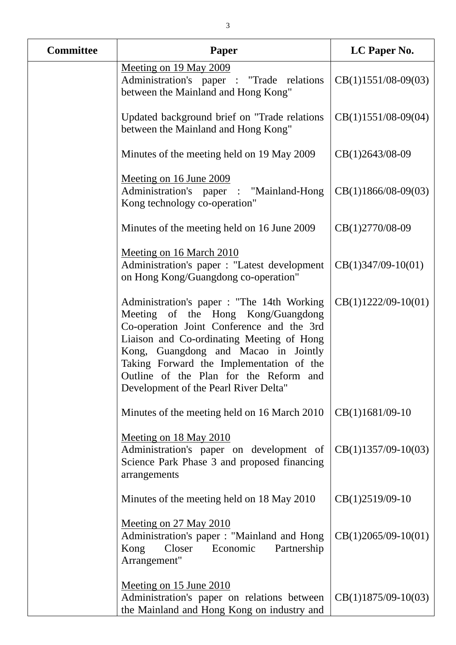| <b>Committee</b> | <b>Paper</b>                                                                                                                                                                                                                                                                                                                                      | LC Paper No.          |
|------------------|---------------------------------------------------------------------------------------------------------------------------------------------------------------------------------------------------------------------------------------------------------------------------------------------------------------------------------------------------|-----------------------|
|                  | Meeting on 19 May 2009<br>Administration's paper : "Trade relations<br>between the Mainland and Hong Kong"                                                                                                                                                                                                                                        | $CB(1)1551/08-09(03)$ |
|                  | Updated background brief on "Trade relations"<br>between the Mainland and Hong Kong"                                                                                                                                                                                                                                                              | $CB(1)1551/08-09(04)$ |
|                  | Minutes of the meeting held on 19 May 2009                                                                                                                                                                                                                                                                                                        | CB(1)2643/08-09       |
|                  | Meeting on 16 June 2009<br>Administration's paper : "Mainland-Hong<br>Kong technology co-operation"                                                                                                                                                                                                                                               | $CB(1)1866/08-09(03)$ |
|                  | Minutes of the meeting held on 16 June 2009                                                                                                                                                                                                                                                                                                       | CB(1)2770/08-09       |
|                  | <u>Meeting on 16 March 2010</u><br>Administration's paper : "Latest development<br>on Hong Kong/Guangdong co-operation"                                                                                                                                                                                                                           | $CB(1)347/09-10(01)$  |
|                  | Administration's paper : "The 14th Working<br>Meeting of the Hong Kong/Guangdong<br>Co-operation Joint Conference and the 3rd<br>Liaison and Co-ordinating Meeting of Hong<br>Kong, Guangdong and Macao in Jointly<br>Taking Forward the Implementation of the<br>Outline of the Plan for the Reform and<br>Development of the Pearl River Delta" | $CB(1)1222/09-10(01)$ |
|                  | Minutes of the meeting held on 16 March 2010                                                                                                                                                                                                                                                                                                      | $CB(1)1681/09-10$     |
|                  | Meeting on 18 May 2010<br>Administration's paper on development of<br>Science Park Phase 3 and proposed financing<br>arrangements                                                                                                                                                                                                                 | $CB(1)1357/09-10(03)$ |
|                  | Minutes of the meeting held on 18 May 2010                                                                                                                                                                                                                                                                                                        | $CB(1)2519/09-10$     |
|                  | Meeting on 27 May 2010<br>Administration's paper: "Mainland and Hong<br>Closer<br>Economic<br>Kong<br>Partnership<br>Arrangement"                                                                                                                                                                                                                 | $CB(1)2065/09-10(01)$ |
|                  | Meeting on 15 June 2010<br>Administration's paper on relations between<br>the Mainland and Hong Kong on industry and                                                                                                                                                                                                                              | $CB(1)1875/09-10(03)$ |